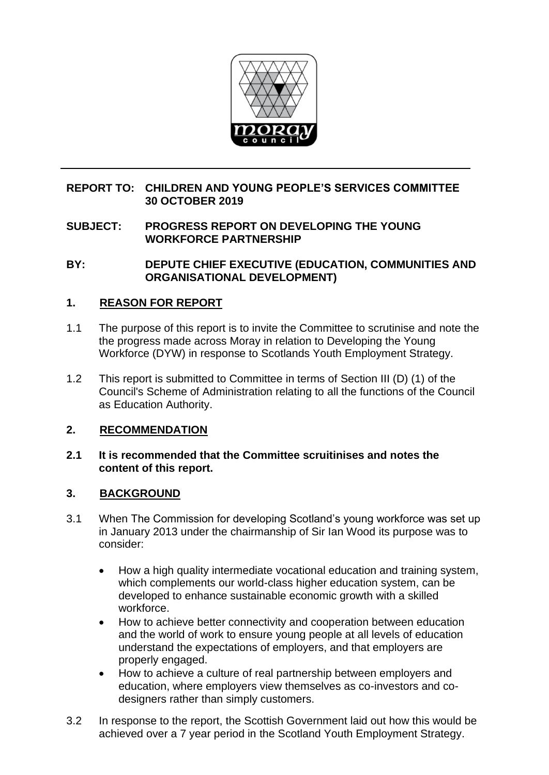

### **REPORT TO: CHILDREN AND YOUNG PEOPLE'S SERVICES COMMITTEE 30 OCTOBER 2019**

### **SUBJECT: PROGRESS REPORT ON DEVELOPING THE YOUNG WORKFORCE PARTNERSHIP**

**BY: DEPUTE CHIEF EXECUTIVE (EDUCATION, COMMUNITIES AND ORGANISATIONAL DEVELOPMENT)**

### **1. REASON FOR REPORT**

- 1.1 The purpose of this report is to invite the Committee to scrutinise and note the the progress made across Moray in relation to Developing the Young Workforce (DYW) in response to Scotlands Youth Employment Strategy.
- 1.2 This report is submitted to Committee in terms of Section III (D) (1) of the Council's Scheme of Administration relating to all the functions of the Council as Education Authority.

### **2. RECOMMENDATION**

### **2.1 It is recommended that the Committee scruitinises and notes the content of this report.**

### **3. BACKGROUND**

- 3.1 When The Commission for developing Scotland's young workforce was set up in January 2013 under the chairmanship of Sir Ian Wood its purpose was to consider:
	- How a high quality intermediate vocational education and training system, which complements our world-class higher education system, can be developed to enhance sustainable economic growth with a skilled workforce.
	- How to achieve better connectivity and cooperation between education and the world of work to ensure young people at all levels of education understand the expectations of employers, and that employers are properly engaged.
	- How to achieve a culture of real partnership between employers and education, where employers view themselves as co-investors and codesigners rather than simply customers.
- 3.2 In response to the report, the Scottish Government laid out how this would be achieved over a 7 year period in the Scotland Youth Employment Strategy.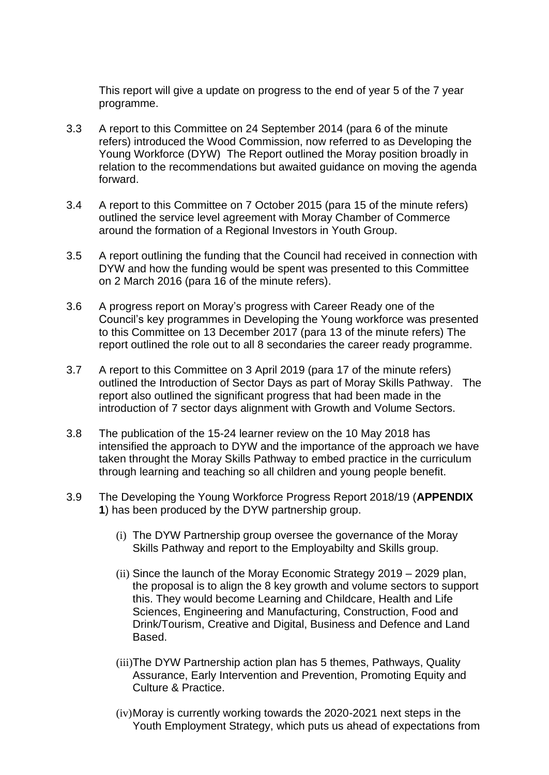This report will give a update on progress to the end of year 5 of the 7 year programme.

- 3.3 A report to this Committee on 24 September 2014 (para 6 of the minute refers) introduced the Wood Commission, now referred to as Developing the Young Workforce (DYW) The Report outlined the Moray position broadly in relation to the recommendations but awaited guidance on moving the agenda forward.
- 3.4 A report to this Committee on 7 October 2015 (para 15 of the minute refers) outlined the service level agreement with Moray Chamber of Commerce around the formation of a Regional Investors in Youth Group.
- 3.5 A report outlining the funding that the Council had received in connection with DYW and how the funding would be spent was presented to this Committee on 2 March 2016 (para 16 of the minute refers).
- 3.6 A progress report on Moray's progress with Career Ready one of the Council's key programmes in Developing the Young workforce was presented to this Committee on 13 December 2017 (para 13 of the minute refers) The report outlined the role out to all 8 secondaries the career ready programme.
- 3.7 A report to this Committee on 3 April 2019 (para 17 of the minute refers) outlined the Introduction of Sector Days as part of Moray Skills Pathway. The report also outlined the significant progress that had been made in the introduction of 7 sector days alignment with Growth and Volume Sectors.
- 3.8 The publication of the 15-24 learner review on the 10 May 2018 has intensified the approach to DYW and the importance of the approach we have taken throught the Moray Skills Pathway to embed practice in the curriculum through learning and teaching so all children and young people benefit.
- 3.9 The Developing the Young Workforce Progress Report 2018/19 (**APPENDIX 1**) has been produced by the DYW partnership group.
	- (i) The DYW Partnership group oversee the governance of the Moray Skills Pathway and report to the Employabilty and Skills group.
	- (ii) Since the launch of the Moray Economic Strategy 2019 2029 plan, the proposal is to align the 8 key growth and volume sectors to support this. They would become Learning and Childcare, Health and Life Sciences, Engineering and Manufacturing, Construction, Food and Drink/Tourism, Creative and Digital, Business and Defence and Land Based.
	- (iii)The DYW Partnership action plan has 5 themes, Pathways, Quality Assurance, Early Intervention and Prevention, Promoting Equity and Culture & Practice.
	- (iv)Moray is currently working towards the 2020-2021 next steps in the Youth Employment Strategy, which puts us ahead of expectations from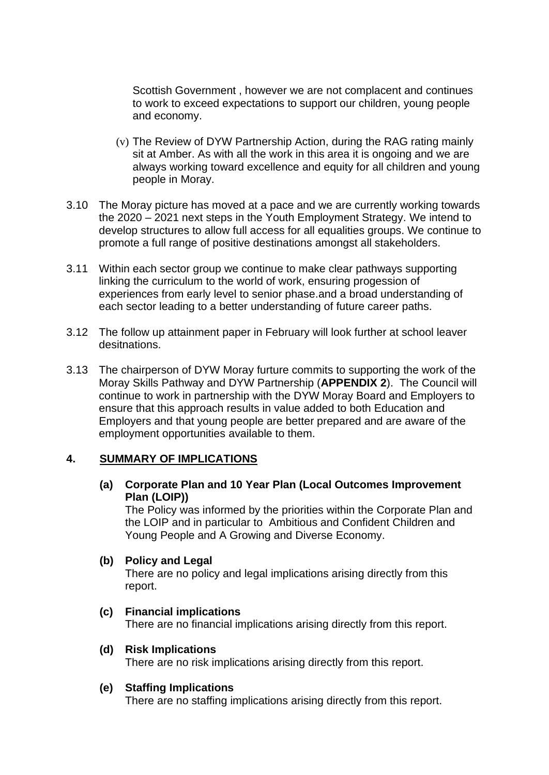Scottish Government , however we are not complacent and continues to work to exceed expectations to support our children, young people and economy.

- (v) The Review of DYW Partnership Action, during the RAG rating mainly sit at Amber. As with all the work in this area it is ongoing and we are always working toward excellence and equity for all children and young people in Moray.
- 3.10 The Moray picture has moved at a pace and we are currently working towards the 2020 – 2021 next steps in the Youth Employment Strategy. We intend to develop structures to allow full access for all equalities groups. We continue to promote a full range of positive destinations amongst all stakeholders.
- 3.11 Within each sector group we continue to make clear pathways supporting linking the curriculum to the world of work, ensuring progession of experiences from early level to senior phase.and a broad understanding of each sector leading to a better understanding of future career paths.
- 3.12 The follow up attainment paper in February will look further at school leaver desitnations.
- 3.13 The chairperson of DYW Moray furture commits to supporting the work of the Moray Skills Pathway and DYW Partnership (**APPENDIX 2**). The Council will continue to work in partnership with the DYW Moray Board and Employers to ensure that this approach results in value added to both Education and Employers and that young people are better prepared and are aware of the employment opportunities available to them.

### **4. SUMMARY OF IMPLICATIONS**

**(a) Corporate Plan and 10 Year Plan (Local Outcomes Improvement Plan (LOIP))**

The Policy was informed by the priorities within the Corporate Plan and the LOIP and in particular to Ambitious and Confident Children and Young People and A Growing and Diverse Economy.

### **(b) Policy and Legal**

There are no policy and legal implications arising directly from this report.

## **(c) Financial implications**

There are no financial implications arising directly from this report.

### **(d) Risk Implications**

There are no risk implications arising directly from this report.

### **(e) Staffing Implications**

There are no staffing implications arising directly from this report.